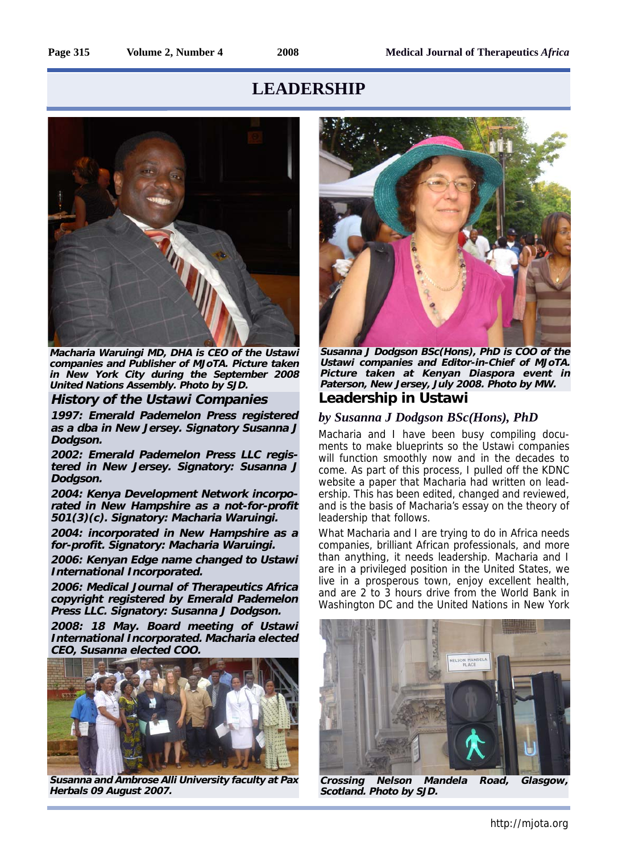

**Macharia Waruingi MD, DHA is CEO of the Ustawi companies and Publisher of MJoTA. Picture taken in New York City during the September 2008 United Nations Assembly. Photo by SJD.** 

### **History of the Ustawi Companies**

**1997: Emerald Pademelon Press registered as a dba in New Jersey. Signatory Susanna J Dodgson.**

**2002: Emerald Pademelon Press LLC registered in New Jersey. Signatory: Susanna J Dodgson.**

**2004: Kenya Development Network incorporated in New Hampshire as a not-for-profit 501(3)(c). Signatory: Macharia Waruingi.**

**2004: incorporated in New Hampshire as a for-profit. Signatory: Macharia Waruingi.**

**2006: Kenyan Edge name changed to Ustawi International Incorporated.**

**2006: Medical Journal of Therapeutics Africa copyright registered by Emerald Pademelon Press LLC. Signatory: Susanna J Dodgson.**

**2008: 18 May. Board meeting of Ustawi International Incorporated. Macharia elected CEO, Susanna elected COO.**



**Susanna and Ambrose Alli University faculty at Pax Herbals 09 August 2007.**



**Leadership in Ustawi Susanna J Dodgson BSc(Hons), PhD is COO of the Ustawi companies and Editor-in-Chief of MJoTA. Picture taken at Kenyan Diaspora event in Paterson, New Jersey, July 2008. Photo by MW.**

### *by Susanna J Dodgson BSc(Hons), PhD*

Macharia and I have been busy compiling documents to make blueprints so the Ustawi companies will function smoothly now and in the decades to come. As part of this process, I pulled off the KDNC website a paper that Macharia had written on leadership. This has been edited, changed and reviewed, and is the basis of Macharia's essay on the theory of leadership that follows.

What Macharia and I are trying to do in Africa needs companies, brilliant African professionals, and more than anything, it needs leadership. Macharia and I are in a privileged position in the United States, we live in a prosperous town, enjoy excellent health, and are 2 to 3 hours drive from the World Bank in Washington DC and the United Nations in New York

![](_page_0_Picture_21.jpeg)

**Crossing Nelson Mandela Road, Glasgow, Scotland. Photo by SJD.**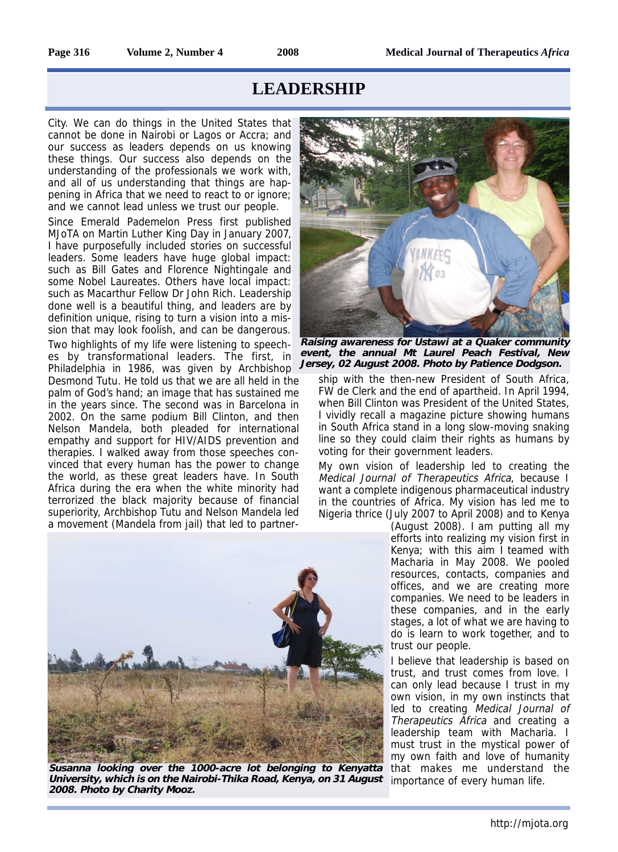City. We can do things in the United States that cannot be done in Nairobi or Lagos or Accra; and our success as leaders depends on us knowing these things. Our success also depends on the understanding of the professionals we work with, and all of us understanding that things are happening in Africa that we need to react to or ignore; and we cannot lead unless we trust our people.

Since Emerald Pademelon Press first published MJoTA on Martin Luther King Day in January 2007, I have purposefully included stories on successful leaders. Some leaders have huge global impact: such as Bill Gates and Florence Nightingale and some Nobel Laureates. Others have local impact: such as Macarthur Fellow Dr John Rich. Leadership done well is a beautiful thing, and leaders are by definition unique, rising to turn a vision into a mission that may look foolish, and can be dangerous. Two highlights of my life were listening to speeches by transformational leaders. The first, in Philadelphia in 1986, was given by Archbishop Desmond Tutu. He told us that we are all held in the palm of God's hand; an image that has sustained me in the years since. The second was in Barcelona in

2002. On the same podium Bill Clinton, and then Nelson Mandela, both pleaded for international empathy and support for HIV/AIDS prevention and therapies. I walked away from those speeches convinced that every human has the power to change the world, as these great leaders have. In South Africa during the era when the white minority had terrorized the black majority because of financial superiority, Archbishop Tutu and Nelson Mandela led a movement (Mandela from jail) that led to partner-

![](_page_1_Picture_7.jpeg)

**Raising awareness for Ustawi at a Quaker community event, the annual Mt Laurel Peach Festival, New Jersey, 02 August 2008. Photo by Patience Dodgson.**

ship with the then-new President of South Africa, FW de Clerk and the end of apartheid. In April 1994, when Bill Clinton was President of the United States, I vividly recall a magazine picture showing humans in South Africa stand in a long slow-moving snaking line so they could claim their rights as humans by voting for their government leaders.

My own vision of leadership led to creating the Medical Journal of Therapeutics Africa, because I want a complete indigenous pharmaceutical industry in the countries of Africa. My vision has led me to Nigeria thrice (July 2007 to April 2008) and to Kenya

(August 2008). I am putting all my efforts into realizing my vision first in Kenya; with this aim I teamed with Macharia in May 2008. We pooled resources, contacts, companies and offices, and we are creating more companies. We need to be leaders in these companies, and in the early stages, a lot of what we are having to do is learn to work together, and to trust our people.

I believe that leadership is based on trust, and trust comes from love. I can only lead because I trust in my own vision, in my own instincts that led to creating Medical Journal of Therapeutics Africa and creating a leadership team with Macharia. I must trust in the mystical power of my own faith and love of humanity that makes me understand the importance of every human life.

![](_page_1_Picture_13.jpeg)

**Susanna looking over the 1000-acre lot belonging to Kenyatta University, which is on the Nairobi-Thika Road, Kenya, on 31 August 2008. Photo by Charity Mooz.**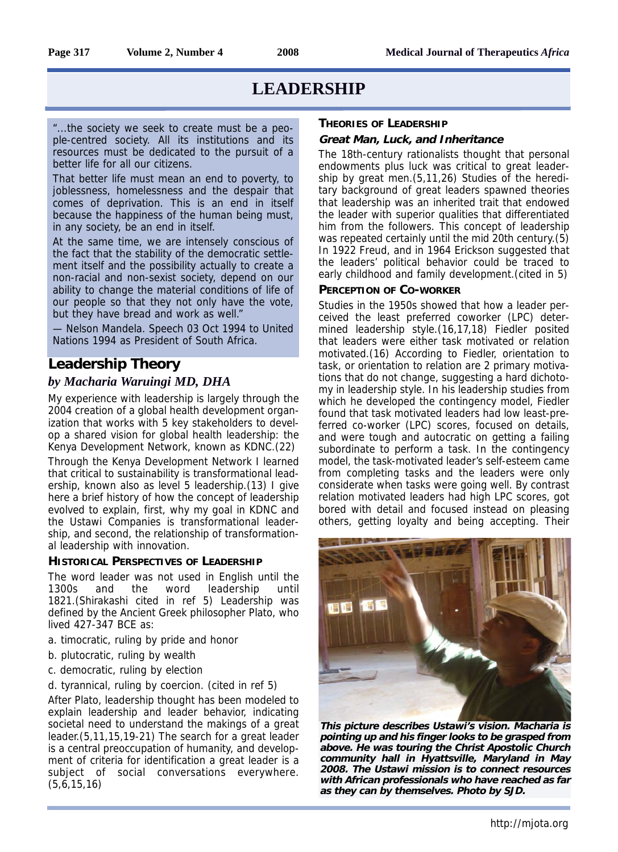"...the society we seek to create must be a people-centred society. All its institutions and its resources must be dedicated to the pursuit of a better life for all our citizens.

That better life must mean an end to poverty, to joblessness, homelessness and the despair that comes of deprivation. This is an end in itself because the happiness of the human being must, in any society, be an end in itself.

At the same time, we are intensely conscious of the fact that the stability of the democratic settlement itself and the possibility actually to create a non-racial and non-sexist society, depend on our ability to change the material conditions of life of our people so that they not only have the vote, but they have bread and work as well."

— Nelson Mandela. Speech 03 Oct 1994 to United Nations 1994 as President of South Africa.

### **Leadership Theory**

### *by Macharia Waruingi MD, DHA*

My experience with leadership is largely through the 2004 creation of a global health development organization that works with 5 key stakeholders to develop a shared vision for global health leadership: the Kenya Development Network, known as KDNC.(22)

Through the Kenya Development Network I learned that critical to sustainability is transformational leadership, known also as level 5 leadership.(13) I give here a brief history of how the concept of leadership evolved to explain, first, why my goal in KDNC and the Ustawi Companies is transformational leadership, and second, the relationship of transformational leadership with innovation.

### **HISTORICAL PERSPECTIVES OF LEADERSHIP**

The word leader was not used in English until the 1300s and the word leadership until 1821.(Shirakashi cited in ref 5) Leadership was defined by the Ancient Greek philosopher Plato, who lived 427-347 BCE as:

- a. timocratic, ruling by pride and honor
- b. plutocratic, ruling by wealth
- c. democratic, ruling by election
- d. tyrannical, ruling by coercion. (cited in ref 5)

After Plato, leadership thought has been modeled to explain leadership and leader behavior, indicating societal need to understand the makings of a great leader.(5,11,15,19-21) The search for a great leader is a central preoccupation of humanity, and development of criteria for identification a great leader is a subject of social conversations everywhere. (5,6,15,16)

### **THEORIES OF LEADERSHIP**

### **Great Man, Luck, and Inheritance**

The 18th-century rationalists thought that personal endowments plus luck was critical to great leadership by great men.(5,11,26) Studies of the hereditary background of great leaders spawned theories that leadership was an inherited trait that endowed the leader with superior qualities that differentiated him from the followers. This concept of leadership was repeated certainly until the mid 20th century.(5) In 1922 Freud, and in 1964 Erickson suggested that the leaders' political behavior could be traced to early childhood and family development.(cited in 5)

### **PERCEPTION OF CO-WORKER**

Studies in the 1950s showed that how a leader perceived the least preferred coworker (LPC) determined leadership style.(16,17,18) Fiedler posited that leaders were either task motivated or relation motivated.(16) According to Fiedler, orientation to task, or orientation to relation are 2 primary motivations that do not change, suggesting a hard dichotomy in leadership style. In his leadership studies from which he developed the contingency model, Fiedler found that task motivated leaders had low least-preferred co-worker (LPC) scores, focused on details, and were tough and autocratic on getting a failing subordinate to perform a task. In the contingency model, the task-motivated leader's self-esteem came from completing tasks and the leaders were only considerate when tasks were going well. By contrast relation motivated leaders had high LPC scores, got bored with detail and focused instead on pleasing others, getting loyalty and being accepting. Their

![](_page_2_Picture_24.jpeg)

**This picture describes Ustawi's vision. Macharia is pointing up and his finger looks to be grasped from above. He was touring the Christ Apostolic Church community hall in Hyattsville, Maryland in May 2008. The Ustawi mission is to connect resources with African professionals who have reached as far as they can by themselves. Photo by SJD.**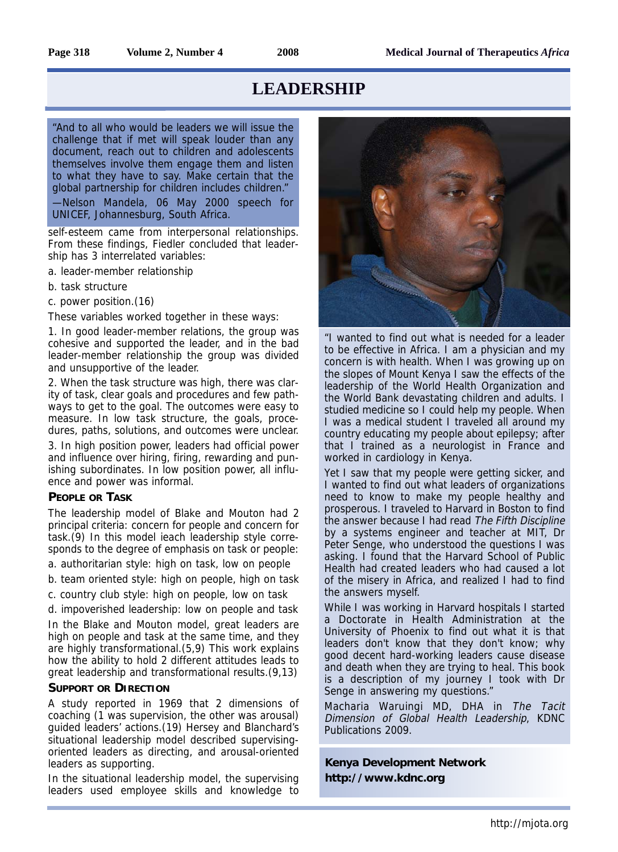"And to all who would be leaders we will issue the challenge that if met will speak louder than any document, reach out to children and adolescents themselves involve them engage them and listen to what they have to say. Make certain that the global partnership for children includes children."

—Nelson Mandela, 06 May 2000 speech for UNICEF, Johannesburg, South Africa.

self-esteem came from interpersonal relationships. From these findings, Fiedler concluded that leadership has 3 interrelated variables:

a. leader-member relationship

b. task structure

c. power position.(16)

These variables worked together in these ways:

1. In good leader-member relations, the group was cohesive and supported the leader, and in the bad leader-member relationship the group was divided and unsupportive of the leader.

2. When the task structure was high, there was clarity of task, clear goals and procedures and few pathways to get to the goal. The outcomes were easy to measure. In low task structure, the goals, procedures, paths, solutions, and outcomes were unclear.

3. In high position power, leaders had official power and influence over hiring, firing, rewarding and punishing subordinates. In low position power, all influence and power was informal.

### **PEOPLE OR TASK**

The leadership model of Blake and Mouton had 2 principal criteria: concern for people and concern for task.(9) In this model ieach leadership style corresponds to the degree of emphasis on task or people:

a. authoritarian style: high on task, low on people

b. team oriented style: high on people, high on task

c. country club style: high on people, low on task

d. impoverished leadership: low on people and task

In the Blake and Mouton model, great leaders are high on people and task at the same time, and they are highly transformational.(5,9) This work explains how the ability to hold 2 different attitudes leads to great leadership and transformational results.(9,13)

### **SUPPORT OR DIRECTION**

A study reported in 1969 that 2 dimensions of coaching (1 was supervision, the other was arousal) guided leaders' actions.(19) Hersey and Blanchard's situational leadership model described supervisingoriented leaders as directing, and arousal-oriented leaders as supporting.

In the situational leadership model, the supervising leaders used employee skills and knowledge to

![](_page_3_Picture_24.jpeg)

"I wanted to find out what is needed for a leader to be effective in Africa. I am a physician and my concern is with health. When I was growing up on the slopes of Mount Kenya I saw the effects of the leadership of the World Health Organization and the World Bank devastating children and adults. I studied medicine so I could help my people. When I was a medical student I traveled all around my country educating my people about epilepsy; after that I trained as a neurologist in France and worked in cardiology in Kenya.

Yet I saw that my people were getting sicker, and I wanted to find out what leaders of organizations need to know to make my people healthy and prosperous. I traveled to Harvard in Boston to find the answer because I had read The Fifth Discipline by a systems engineer and teacher at MIT, Dr Peter Senge, who understood the questions I was asking. I found that the Harvard School of Public Health had created leaders who had caused a lot of the misery in Africa, and realized I had to find the answers myself.

While I was working in Harvard hospitals I started a Doctorate in Health Administration at the University of Phoenix to find out what it is that leaders don't know that they don't know; why good decent hard-working leaders cause disease and death when they are trying to heal. This book is a description of my journey I took with Dr Senge in answering my questions."

Macharia Waruingi MD, DHA in The Tacit Dimension of Global Health Leadership, KDNC Publications 2009.

**Kenya Development Network http://www.kdnc.org**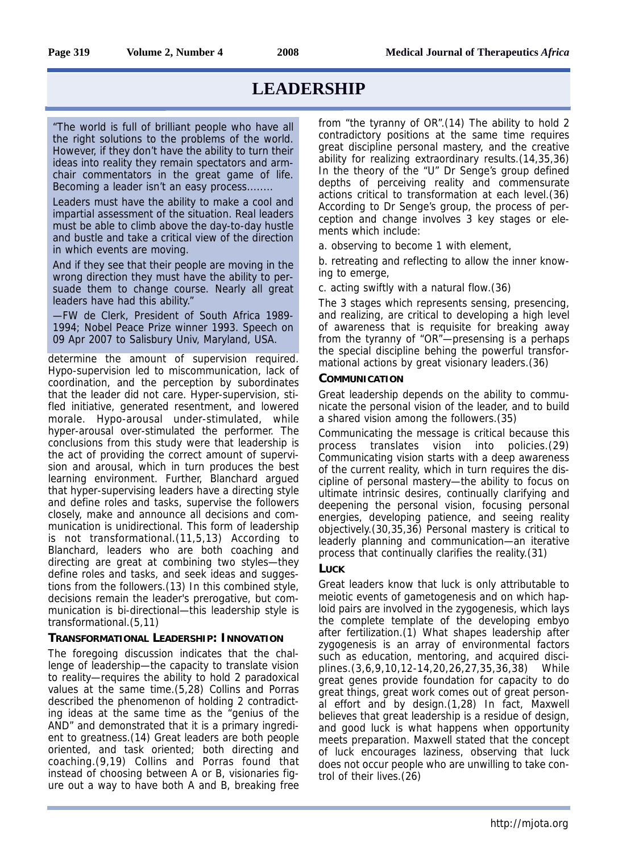"The world is full of brilliant people who have all the right solutions to the problems of the world. However, if they don't have the ability to turn their ideas into reality they remain spectators and armchair commentators in the great game of life. Becoming a leader isn't an easy process........

Leaders must have the ability to make a cool and impartial assessment of the situation. Real leaders must be able to climb above the day-to-day hustle and bustle and take a critical view of the direction in which events are moving.

And if they see that their people are moving in the wrong direction they must have the ability to persuade them to change course. Nearly all great leaders have had this ability."

—FW de Clerk, President of South Africa 1989- 1994; Nobel Peace Prize winner 1993. Speech on 09 Apr 2007 to Salisbury Univ, Maryland, USA.

determine the amount of supervision required. Hypo-supervision led to miscommunication, lack of coordination, and the perception by subordinates that the leader did not care. Hyper-supervision, stifled initiative, generated resentment, and lowered morale. Hypo-arousal under-stimulated, while hyper-arousal over-stimulated the performer. The conclusions from this study were that leadership is the act of providing the correct amount of supervision and arousal, which in turn produces the best learning environment. Further, Blanchard argued that hyper-supervising leaders have a directing style and define roles and tasks, supervise the followers closely, make and announce all decisions and communication is unidirectional. This form of leadership is not transformational.(11,5,13) According to Blanchard, leaders who are both coaching and directing are great at combining two styles—they define roles and tasks, and seek ideas and suggestions from the followers.(13) In this combined style, decisions remain the leader's prerogative, but communication is bi-directional—this leadership style is transformational.(5,11)

### **TRANSFORMATIONAL LEADERSHIP: INNOVATION**

The foregoing discussion indicates that the challenge of leadership—the capacity to translate vision to reality—requires the ability to hold 2 paradoxical values at the same time.(5,28) Collins and Porras described the phenomenon of holding 2 contradicting ideas at the same time as the "genius of the AND" and demonstrated that it is a primary ingredient to greatness.(14) Great leaders are both people oriented, and task oriented; both directing and coaching.(9,19) Collins and Porras found that instead of choosing between A or B, visionaries figure out a way to have both A and B, breaking free from "the tyranny of OR".(14) The ability to hold 2 contradictory positions at the same time requires great discipline personal mastery, and the creative ability for realizing extraordinary results.(14,35,36) In the theory of the "U" Dr Senge's group defined depths of perceiving reality and commensurate actions critical to transformation at each level.(36) According to Dr Senge's group, the process of perception and change involves 3 key stages or elements which include:

a. observing to become 1 with element,

b. retreating and reflecting to allow the inner knowing to emerge,

c. acting swiftly with a natural flow.(36)

The 3 stages which represents sensing, presencing, and realizing, are critical to developing a high level of awareness that is requisite for breaking away from the tyranny of "OR"—presensing is a perhaps the special discipline behing the powerful transformational actions by great visionary leaders.(36)

### **COMMUNICATION**

Great leadership depends on the ability to communicate the personal vision of the leader, and to build a shared vision among the followers.(35)

Communicating the message is critical because this process translates vision into policies.(29) Communicating vision starts with a deep awareness of the current reality, which in turn requires the discipline of personal mastery—the ability to focus on ultimate intrinsic desires, continually clarifying and deepening the personal vision, focusing personal energies, developing patience, and seeing reality objectively.(30,35,36) Personal mastery is critical to leaderly planning and communication—an iterative process that continually clarifies the reality.(31)

### **LUCK**

Great leaders know that luck is only attributable to meiotic events of gametogenesis and on which haploid pairs are involved in the zygogenesis, which lays the complete template of the developing embyo after fertilization.(1) What shapes leadership after zygogenesis is an array of environmental factors such as education, mentoring, and acquired disciplines.(3,6,9,10,12-14,20,26,27,35,36,38) While great genes provide foundation for capacity to do great things, great work comes out of great personal effort and by design.(1,28) In fact, Maxwell believes that great leadership is a residue of design, and good luck is what happens when opportunity meets preparation. Maxwell stated that the concept of luck encourages laziness, observing that luck does not occur people who are unwilling to take control of their lives.(26)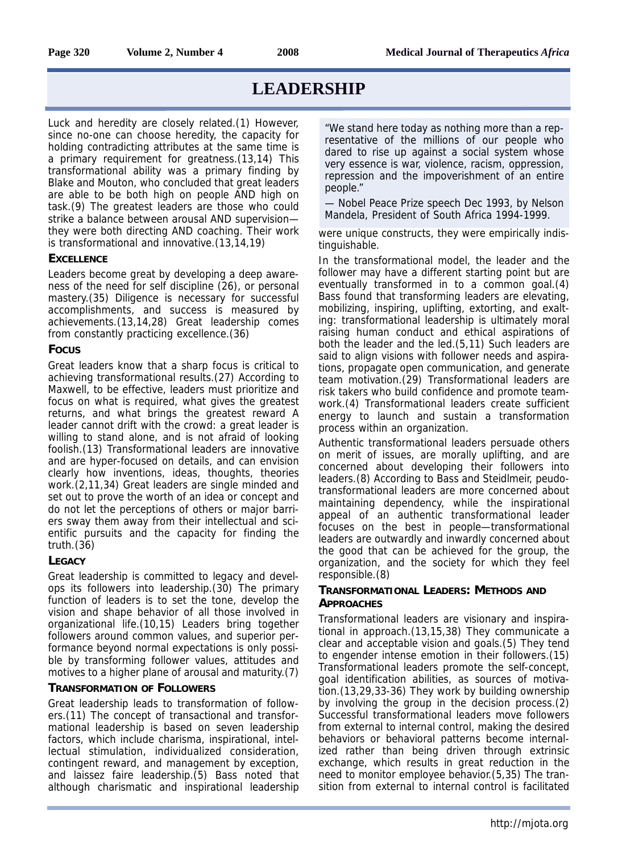Luck and heredity are closely related.(1) However, since no-one can choose heredity, the capacity for holding contradicting attributes at the same time is a primary requirement for greatness.(13,14) This transformational ability was a primary finding by Blake and Mouton, who concluded that great leaders are able to be both high on people AND high on task.(9) The greatest leaders are those who could strike a balance between arousal AND supervision they were both directing AND coaching. Their work is transformational and innovative.(13,14,19)

### **EXCELLENCE**

Leaders become great by developing a deep awareness of the need for self discipline (26), or personal mastery.(35) Diligence is necessary for successful accomplishments, and success is measured by achievements.(13,14,28) Great leadership comes from constantly practicing excellence.(36)

### **FOCUS**

Great leaders know that a sharp focus is critical to achieving transformational results.(27) According to Maxwell, to be effective, leaders must prioritize and focus on what is required, what gives the greatest returns, and what brings the greatest reward A leader cannot drift with the crowd: a great leader is willing to stand alone, and is not afraid of looking foolish.(13) Transformational leaders are innovative and are hyper-focused on details, and can envision clearly how inventions, ideas, thoughts, theories work.(2,11,34) Great leaders are single minded and set out to prove the worth of an idea or concept and do not let the perceptions of others or major barriers sway them away from their intellectual and scientific pursuits and the capacity for finding the truth.(36)

### **LEGACY**

Great leadership is committed to legacy and develops its followers into leadership.(30) The primary function of leaders is to set the tone, develop the vision and shape behavior of all those involved in organizational life.(10,15) Leaders bring together followers around common values, and superior performance beyond normal expectations is only possible by transforming follower values, attitudes and motives to a higher plane of arousal and maturity.(7)

### **TRANSFORMATION OF FOLLOWERS**

Great leadership leads to transformation of followers.(11) The concept of transactional and transformational leadership is based on seven leadership factors, which include charisma, inspirational, intellectual stimulation, individualized consideration, contingent reward, and management by exception, and laissez faire leadership.(5) Bass noted that although charismatic and inspirational leadership

"We stand here today as nothing more than a representative of the millions of our people who dared to rise up against a social system whose very essence is war, violence, racism, oppression, repression and the impoverishment of an entire people."

— Nobel Peace Prize speech Dec 1993, by Nelson Mandela, President of South Africa 1994-1999.

were unique constructs, they were empirically indistinguishable.

In the transformational model, the leader and the follower may have a different starting point but are eventually transformed in to a common goal.(4) Bass found that transforming leaders are elevating, mobilizing, inspiring, uplifting, extorting, and exalting: transformational leadership is ultimately moral raising human conduct and ethical aspirations of both the leader and the led.(5,11) Such leaders are said to align visions with follower needs and aspirations, propagate open communication, and generate team motivation.(29) Transformational leaders are risk takers who build confidence and promote teamwork.(4) Transformational leaders create sufficient energy to launch and sustain a transformation process within an organization.

Authentic transformational leaders persuade others on merit of issues, are morally uplifting, and are concerned about developing their followers into leaders.(8) According to Bass and Steidlmeir, peudotransformational leaders are more concerned about maintaining dependency, while the inspirational appeal of an authentic transformational leader focuses on the best in people—transformational leaders are outwardly and inwardly concerned about the good that can be achieved for the group, the organization, and the society for which they feel responsible.(8)

### **TRANSFORMATIONAL LEADERS: METHODS AND APPROACHES**

Transformational leaders are visionary and inspirational in approach.(13,15,38) They communicate a clear and acceptable vision and goals.(5) They tend to engender intense emotion in their followers.(15) Transformational leaders promote the self-concept, goal identification abilities, as sources of motivation.(13,29,33-36) They work by building ownership by involving the group in the decision process.(2) Successful transformational leaders move followers from external to internal control, making the desired behaviors or behavioral patterns become internalized rather than being driven through extrinsic exchange, which results in great reduction in the need to monitor employee behavior.(5,35) The transition from external to internal control is facilitated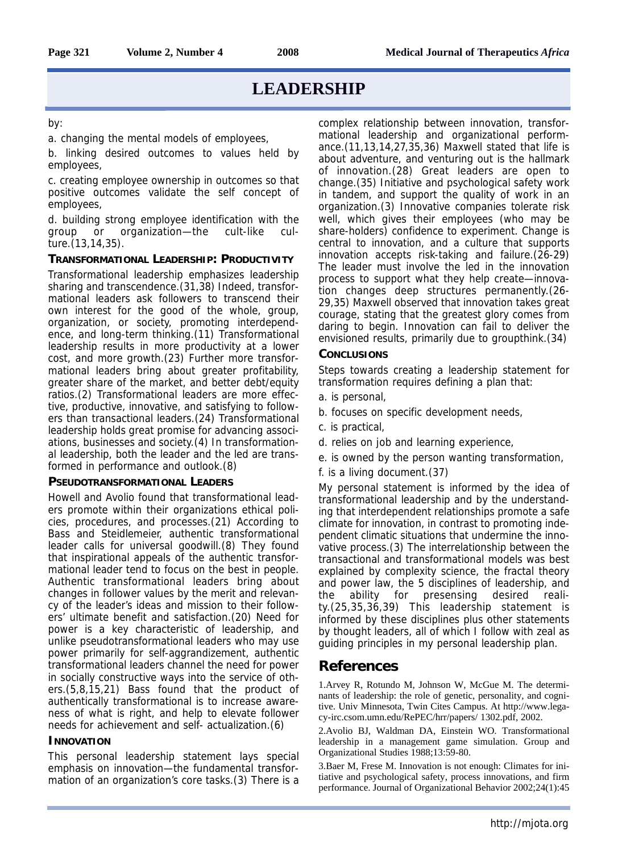#### by:

a. changing the mental models of employees,

b. linking desired outcomes to values held by employees,

c. creating employee ownership in outcomes so that positive outcomes validate the self concept of employees,

d. building strong employee identification with the group or organization—the cult-like culture.(13,14,35).

### **TRANSFORMATIONAL LEADERSHIP: PRODUCTIVITY**

Transformational leadership emphasizes leadership sharing and transcendence.(31,38) Indeed, transformational leaders ask followers to transcend their own interest for the good of the whole, group, organization, or society, promoting interdependence, and long-term thinking.(11) Transformational leadership results in more productivity at a lower cost, and more growth.(23) Further more transformational leaders bring about greater profitability, greater share of the market, and better debt/equity ratios.(2) Transformational leaders are more effective, productive, innovative, and satisfying to followers than transactional leaders.(24) Transformational leadership holds great promise for advancing associations, businesses and society.(4) In transformational leadership, both the leader and the led are transformed in performance and outlook.(8)

#### **PSEUDOTRANSFORMATIONAL LEADERS**

Howell and Avolio found that transformational leaders promote within their organizations ethical policies, procedures, and processes.(21) According to Bass and Steidlemeier, authentic transformational leader calls for universal goodwill.(8) They found that inspirational appeals of the authentic transformational leader tend to focus on the best in people. Authentic transformational leaders bring about changes in follower values by the merit and relevancy of the leader's ideas and mission to their followers' ultimate benefit and satisfaction.(20) Need for power is a key characteristic of leadership, and unlike pseudotransformational leaders who may use power primarily for self-aggrandizement, authentic transformational leaders channel the need for power in socially constructive ways into the service of others.(5,8,15,21) Bass found that the product of authentically transformational is to increase awareness of what is right, and help to elevate follower needs for achievement and self- actualization.(6)

#### **INNOVATION**

This personal leadership statement lays special emphasis on innovation—the fundamental transformation of an organization's core tasks.(3) There is a

complex relationship between innovation, transformational leadership and organizational performance.(11,13,14,27,35,36) Maxwell stated that life is about adventure, and venturing out is the hallmark of innovation.(28) Great leaders are open to change.(35) Initiative and psychological safety work in tandem, and support the quality of work in an organization.(3) Innovative companies tolerate risk well, which gives their employees (who may be share-holders) confidence to experiment. Change is central to innovation, and a culture that supports innovation accepts risk-taking and failure.(26-29) The leader must involve the led in the innovation process to support what they help create—innovation changes deep structures permanently.(26- 29,35) Maxwell observed that innovation takes great courage, stating that the greatest glory comes from daring to begin. Innovation can fail to deliver the envisioned results, primarily due to groupthink.(34)

### **CONCLUSIONS**

Steps towards creating a leadership statement for transformation requires defining a plan that:

- a. is personal,
- b. focuses on specific development needs,
- c. is practical,
- d. relies on job and learning experience,
- e. is owned by the person wanting transformation,
- f. is a living document.(37)

My personal statement is informed by the idea of transformational leadership and by the understanding that interdependent relationships promote a safe climate for innovation, in contrast to promoting independent climatic situations that undermine the innovative process.(3) The interrelationship between the transactional and transformational models was best explained by complexity science, the fractal theory and power law, the 5 disciplines of leadership, and the ability for presensing desired reality.(25,35,36,39) This leadership statement is informed by these disciplines plus other statements by thought leaders, all of which I follow with zeal as guiding principles in my personal leadership plan.

### **References**

1.Arvey R, Rotundo M, Johnson W, McGue M. The determinants of leadership: the role of genetic, personality, and cognitive. Univ Minnesota, Twin Cites Campus. At http://www.legacy-irc.csom.umn.edu/RePEC/hrr/papers/ 1302.pdf, 2002.

2.Avolio BJ, Waldman DA, Einstein WO. Transformational leadership in a management game simulation. Group and Organizational Studies 1988;13:59-80.

3.Baer M, Frese M. Innovation is not enough: Climates for initiative and psychological safety, process innovations, and firm performance. Journal of Organizational Behavior 2002;24(1):45